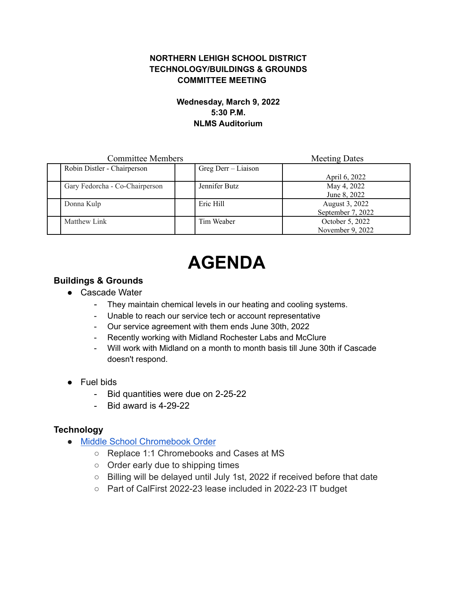#### **NORTHERN LEHIGH SCHOOL DISTRICT TECHNOLOGY/BUILDINGS & GROUNDS COMMITTEE MEETING**

#### **Wednesday, March 9, 2022 5:30 P.M. NLMS Auditorium**

| <b>Committee Members</b> |                                |                     | <b>Meeting Dates</b> |
|--------------------------|--------------------------------|---------------------|----------------------|
|                          | Robin Distler - Chairperson    | Greg Derr – Liaison |                      |
|                          |                                |                     | April 6, 2022        |
|                          | Gary Fedorcha - Co-Chairperson | Jennifer Butz       | May 4, 2022          |
|                          |                                |                     | June 8, 2022         |
| Donna Kulp               |                                | Eric Hill           | August 3, 2022       |
|                          |                                |                     | September 7, 2022    |
| Matthew Link             |                                | Tim Weaber          | October 5, 2022      |
|                          |                                |                     | November 9, 2022     |

# **AGENDA**

## **Buildings & Grounds**

- Cascade Water
	- They maintain chemical levels in our heating and cooling systems.
	- Unable to reach our service tech or account representative
	- Our service agreement with them ends June 30th, 2022
	- Recently working with Midland Rochester Labs and McClure
	- Will work with Midland on a month to month basis till June 30th if Cascade doesn't respond.
- Fuel bids
	- Bid quantities were due on 2-25-22
	- Bid award is 4-29-22

## **Technology**

- [Middle School Chromebook Order](https://drive.google.com/file/d/1JQmejtNkk5QVY7PaooAG--pHJG76EwHm/view?usp=sharing)
	- Replace 1:1 Chromebooks and Cases at MS
	- Order early due to shipping times
	- Billing will be delayed until July 1st, 2022 if received before that date
	- Part of CalFirst 2022-23 lease included in 2022-23 IT budget